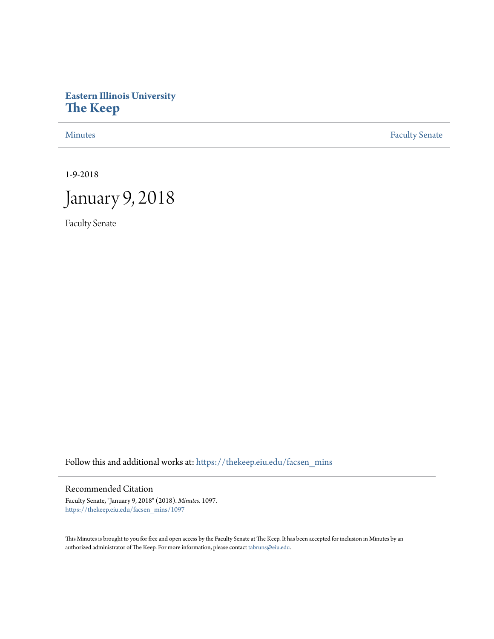# **Eastern Illinois University [The Keep](https://thekeep.eiu.edu?utm_source=thekeep.eiu.edu%2Ffacsen_mins%2F1097&utm_medium=PDF&utm_campaign=PDFCoverPages)**

[Minutes](https://thekeep.eiu.edu/facsen_mins?utm_source=thekeep.eiu.edu%2Ffacsen_mins%2F1097&utm_medium=PDF&utm_campaign=PDFCoverPages) **[Faculty Senate](https://thekeep.eiu.edu/fac_senate?utm_source=thekeep.eiu.edu%2Ffacsen_mins%2F1097&utm_medium=PDF&utm_campaign=PDFCoverPages)** 

1-9-2018



Faculty Senate

Follow this and additional works at: [https://thekeep.eiu.edu/facsen\\_mins](https://thekeep.eiu.edu/facsen_mins?utm_source=thekeep.eiu.edu%2Ffacsen_mins%2F1097&utm_medium=PDF&utm_campaign=PDFCoverPages)

# Recommended Citation

Faculty Senate, "January 9, 2018" (2018). *Minutes*. 1097. [https://thekeep.eiu.edu/facsen\\_mins/1097](https://thekeep.eiu.edu/facsen_mins/1097?utm_source=thekeep.eiu.edu%2Ffacsen_mins%2F1097&utm_medium=PDF&utm_campaign=PDFCoverPages)

This Minutes is brought to you for free and open access by the Faculty Senate at The Keep. It has been accepted for inclusion in Minutes by an authorized administrator of The Keep. For more information, please contact [tabruns@eiu.edu](mailto:tabruns@eiu.edu).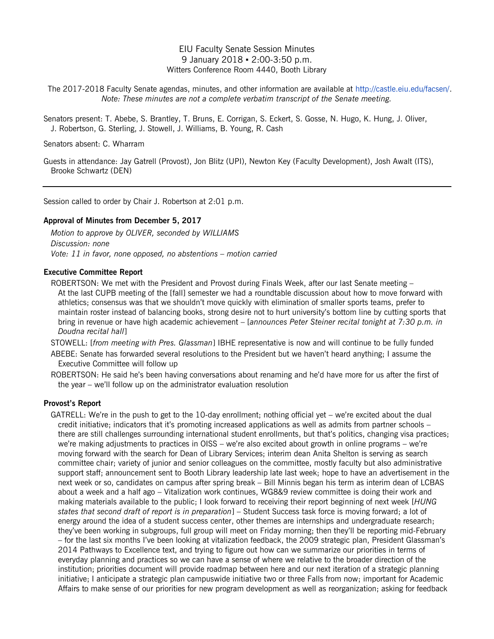# EIU Faculty Senate Session Minutes 9 January 2018 ▪ 2:00-3:50 p.m. Witters Conference Room 4440, Booth Library

The 2017-2018 Faculty Senate agendas, minutes, and other information are available at [http://castle.eiu.edu/facsen/.](http://castle.eiu.edu/facsen/) *Note: These minutes are not a complete verbatim transcript of the Senate meeting.*

Senators present: T. Abebe, S. Brantley, T. Bruns, E. Corrigan, S. Eckert, S. Gosse, N. Hugo, K. Hung, J. Oliver, J. Robertson, G. Sterling, J. Stowell, J. Williams, B. Young, R. Cash

Senators absent: C. Wharram

Guests in attendance: Jay Gatrell (Provost), Jon Blitz (UPI), Newton Key (Faculty Development), Josh Awalt (ITS), Brooke Schwartz (DEN)

Session called to order by Chair J. Robertson at 2:01 p.m.

#### **Approval of Minutes from December 5, 2017**

*Motion to approve by OLIVER, seconded by WILLIAMS Discussion: none Vote: 11 in favor, none opposed, no abstentions – motion carried*

#### **Executive Committee Report**

ROBERTSON: We met with the President and Provost during Finals Week, after our last Senate meeting – At the last CUPB meeting of the [fall] semester we had a roundtable discussion about how to move forward with athletics; consensus was that we shouldn't move quickly with elimination of smaller sports teams, prefer to maintain roster instead of balancing books, strong desire not to hurt university's bottom line by cutting sports that bring in revenue or have high academic achievement – [*announces Peter Steiner recital tonight at 7:30 p.m. in Doudna recital hall*]

STOWELL: [*from meeting with Pres. Glassman*] IBHE representative is now and will continue to be fully funded

ABEBE: Senate has forwarded several resolutions to the President but we haven't heard anything; I assume the Executive Committee will follow up

ROBERTSON: He said he's been having conversations about renaming and he'd have more for us after the first of the year – we'll follow up on the administrator evaluation resolution

## **Provost's Report**

GATRELL: We're in the push to get to the 10-day enrollment; nothing official yet – we're excited about the dual credit initiative; indicators that it's promoting increased applications as well as admits from partner schools – there are still challenges surrounding international student enrollments, but that's politics, changing visa practices; we're making adjustments to practices in OISS – we're also excited about growth in online programs – we're moving forward with the search for Dean of Library Services; interim dean Anita Shelton is serving as search committee chair; variety of junior and senior colleagues on the committee, mostly faculty but also administrative support staff; announcement sent to Booth Library leadership late last week; hope to have an advertisement in the next week or so, candidates on campus after spring break – Bill Minnis began his term as interim dean of LCBAS about a week and a half ago – Vitalization work continues, WG8&9 review committee is doing their work and making materials available to the public; I look forward to receiving their report beginning of next week [*HUNG states that second draft of report is in preparation*] – Student Success task force is moving forward; a lot of energy around the idea of a student success center, other themes are internships and undergraduate research; they've been working in subgroups, full group will meet on Friday morning; then they'll be reporting mid-February – for the last six months I've been looking at vitalization feedback, the 2009 strategic plan, President Glassman's 2014 Pathways to Excellence text, and trying to figure out how can we summarize our priorities in terms of everyday planning and practices so we can have a sense of where we relative to the broader direction of the institution; priorities document will provide roadmap between here and our next iteration of a strategic planning initiative; I anticipate a strategic plan campuswide initiative two or three Falls from now; important for Academic Affairs to make sense of our priorities for new program development as well as reorganization; asking for feedback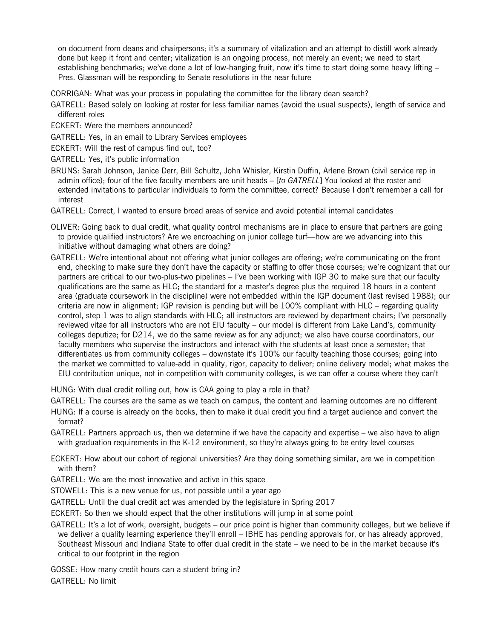on document from deans and chairpersons; it's a summary of vitalization and an attempt to distill work already done but keep it front and center; vitalization is an ongoing process, not merely an event; we need to start establishing benchmarks; we've done a lot of low-hanging fruit, now it's time to start doing some heavy lifting – Pres. Glassman will be responding to Senate resolutions in the near future

CORRIGAN: What was your process in populating the committee for the library dean search?

- GATRELL: Based solely on looking at roster for less familiar names (avoid the usual suspects), length of service and different roles
- ECKERT: Were the members announced?
- GATRELL: Yes, in an email to Library Services employees
- ECKERT: Will the rest of campus find out, too?
- GATRELL: Yes, it's public information
- BRUNS: Sarah Johnson, Janice Derr, Bill Schultz, John Whisler, Kirstin Duffin, Arlene Brown (civil service rep in admin office); four of the five faculty members are unit heads – [*to GATRELL*] You looked at the roster and extended invitations to particular individuals to form the committee, correct? Because I don't remember a call for interest
- GATRELL: Correct, I wanted to ensure broad areas of service and avoid potential internal candidates
- OLIVER: Going back to dual credit, what quality control mechanisms are in place to ensure that partners are going to provide qualified instructors? Are we encroaching on junior college turf—how are we advancing into this initiative without damaging what others are doing?
- GATRELL: We're intentional about not offering what junior colleges are offering; we're communicating on the front end, checking to make sure they don't have the capacity or staffing to offer those courses; we're cognizant that our partners are critical to our two-plus-two pipelines – I've been working with IGP 30 to make sure that our faculty qualifications are the same as HLC; the standard for a master's degree plus the required 18 hours in a content area (graduate coursework in the discipline) were not embedded within the IGP document (last revised 1988); our criteria are now in alignment; IGP revision is pending but will be 100% compliant with HLC – regarding quality control, step 1 was to align standards with HLC; all instructors are reviewed by department chairs; I've personally reviewed vitae for all instructors who are not EIU faculty – our model is different from Lake Land's, community colleges deputize; for D214, we do the same review as for any adjunct; we also have course coordinators, our faculty members who supervise the instructors and interact with the students at least once a semester; that differentiates us from community colleges – downstate it's 100% our faculty teaching those courses; going into the market we committed to value-add in quality, rigor, capacity to deliver; online delivery model; what makes the EIU contribution unique, not in competition with community colleges, is we can offer a course where they can't

HUNG: With dual credit rolling out, how is CAA going to play a role in that?

GATRELL: The courses are the same as we teach on campus, the content and learning outcomes are no different

- HUNG: If a course is already on the books, then to make it dual credit you find a target audience and convert the format?
- GATRELL: Partners approach us, then we determine if we have the capacity and expertise we also have to align with graduation requirements in the K-12 environment, so they're always going to be entry level courses

ECKERT: How about our cohort of regional universities? Are they doing something similar, are we in competition with them?

GATRELL: We are the most innovative and active in this space

STOWELL: This is a new venue for us, not possible until a year ago

GATRELL: Until the dual credit act was amended by the legislature in Spring 2017

ECKERT: So then we should expect that the other institutions will jump in at some point

GATRELL: It's a lot of work, oversight, budgets – our price point is higher than community colleges, but we believe if we deliver a quality learning experience they'll enroll – IBHE has pending approvals for, or has already approved, Southeast Missouri and Indiana State to offer dual credit in the state – we need to be in the market because it's critical to our footprint in the region

GOSSE: How many credit hours can a student bring in? GATRELL: No limit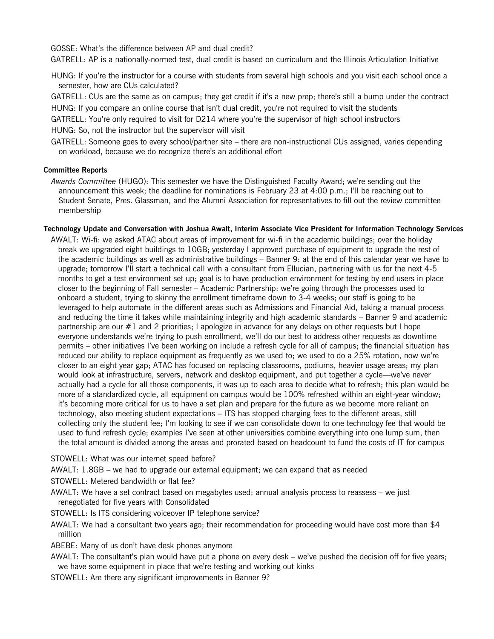GOSSE: What's the difference between AP and dual credit?

GATRELL: AP is a nationally-normed test, dual credit is based on curriculum and the Illinois Articulation Initiative

HUNG: If you're the instructor for a course with students from several high schools and you visit each school once a semester, how are CUs calculated?

GATRELL: CUs are the same as on campus; they get credit if it's a new prep; there's still a bump under the contract HUNG: If you compare an online course that isn't dual credit, you're not required to visit the students

GATRELL: You're only required to visit for D214 where you're the supervisor of high school instructors HUNG: So, not the instructor but the supervisor will visit

GATRELL: Someone goes to every school/partner site – there are non-instructional CUs assigned, varies depending on workload, because we do recognize there's an additional effort

#### **Committee Reports**

*Awards Committee* (HUGO): This semester we have the Distinguished Faculty Award; we're sending out the announcement this week; the deadline for nominations is February 23 at 4:00 p.m.; I'll be reaching out to Student Senate, Pres. Glassman, and the Alumni Association for representatives to fill out the review committee membership

#### **Technology Update and Conversation with Joshua Awalt, Interim Associate Vice President for Information Technology Services**

AWALT: Wi-fi: we asked ATAC about areas of improvement for wi-fi in the academic buildings; over the holiday break we upgraded eight buildings to 10GB; yesterday I approved purchase of equipment to upgrade the rest of the academic buildings as well as administrative buildings – Banner 9: at the end of this calendar year we have to upgrade; tomorrow I'll start a technical call with a consultant from Ellucian, partnering with us for the next 4-5 months to get a test environment set up; goal is to have production environment for testing by end users in place closer to the beginning of Fall semester – Academic Partnership: we're going through the processes used to onboard a student, trying to skinny the enrollment timeframe down to 3-4 weeks; our staff is going to be leveraged to help automate in the different areas such as Admissions and Financial Aid, taking a manual process and reducing the time it takes while maintaining integrity and high academic standards – Banner 9 and academic partnership are our #1 and 2 priorities; I apologize in advance for any delays on other requests but I hope everyone understands we're trying to push enrollment, we'll do our best to address other requests as downtime permits – other initiatives I've been working on include a refresh cycle for all of campus; the financial situation has reduced our ability to replace equipment as frequently as we used to; we used to do a 25% rotation, now we're closer to an eight year gap; ATAC has focused on replacing classrooms, podiums, heavier usage areas; my plan would look at infrastructure, servers, network and desktop equipment, and put together a cycle—we've never actually had a cycle for all those components, it was up to each area to decide what to refresh; this plan would be more of a standardized cycle, all equipment on campus would be 100% refreshed within an eight-year window; it's becoming more critical for us to have a set plan and prepare for the future as we become more reliant on technology, also meeting student expectations – ITS has stopped charging fees to the different areas, still collecting only the student fee; I'm looking to see if we can consolidate down to one technology fee that would be used to fund refresh cycle; examples I've seen at other universities combine everything into one lump sum, then the total amount is divided among the areas and prorated based on headcount to fund the costs of IT for campus

STOWELL: What was our internet speed before?

AWALT: 1.8GB – we had to upgrade our external equipment; we can expand that as needed

STOWELL: Metered bandwidth or flat fee?

AWALT: We have a set contract based on megabytes used; annual analysis process to reassess – we just renegotiated for five years with Consolidated

STOWELL: Is ITS considering voiceover IP telephone service?

AWALT: We had a consultant two years ago; their recommendation for proceeding would have cost more than \$4 million

ABEBE: Many of us don't have desk phones anymore

AWALT: The consultant's plan would have put a phone on every desk – we've pushed the decision off for five years; we have some equipment in place that we're testing and working out kinks

STOWELL: Are there any significant improvements in Banner 9?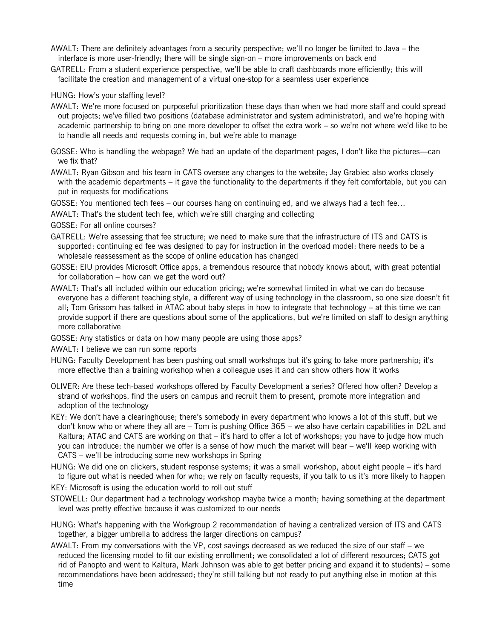- AWALT: There are definitely advantages from a security perspective; we'll no longer be limited to Java the interface is more user-friendly; there will be single sign-on – more improvements on back end
- GATRELL: From a student experience perspective, we'll be able to craft dashboards more efficiently; this will facilitate the creation and management of a virtual one-stop for a seamless user experience

### HUNG: How's your staffing level?

- AWALT: We're more focused on purposeful prioritization these days than when we had more staff and could spread out projects; we've filled two positions (database administrator and system administrator), and we're hoping with academic partnership to bring on one more developer to offset the extra work – so we're not where we'd like to be to handle all needs and requests coming in, but we're able to manage
- GOSSE: Who is handling the webpage? We had an update of the department pages, I don't like the pictures—can we fix that?
- AWALT: Ryan Gibson and his team in CATS oversee any changes to the website; Jay Grabiec also works closely with the academic departments – it gave the functionality to the departments if they felt comfortable, but you can put in requests for modifications
- GOSSE: You mentioned tech fees our courses hang on continuing ed, and we always had a tech fee…
- AWALT: That's the student tech fee, which we're still charging and collecting
- GOSSE: For all online courses?
- GATRELL: We're assessing that fee structure; we need to make sure that the infrastructure of ITS and CATS is supported; continuing ed fee was designed to pay for instruction in the overload model; there needs to be a wholesale reassessment as the scope of online education has changed
- GOSSE: EIU provides Microsoft Office apps, a tremendous resource that nobody knows about, with great potential for collaboration – how can we get the word out?
- AWALT: That's all included within our education pricing; we're somewhat limited in what we can do because everyone has a different teaching style, a different way of using technology in the classroom, so one size doesn't fit all; Tom Grissom has talked in ATAC about baby steps in how to integrate that technology – at this time we can provide support if there are questions about some of the applications, but we're limited on staff to design anything more collaborative
- GOSSE: Any statistics or data on how many people are using those apps?
- AWALT: I believe we can run some reports
- HUNG: Faculty Development has been pushing out small workshops but it's going to take more partnership; it's more effective than a training workshop when a colleague uses it and can show others how it works
- OLIVER: Are these tech-based workshops offered by Faculty Development a series? Offered how often? Develop a strand of workshops, find the users on campus and recruit them to present, promote more integration and adoption of the technology
- KEY: We don't have a clearinghouse; there's somebody in every department who knows a lot of this stuff, but we don't know who or where they all are – Tom is pushing Office 365 – we also have certain capabilities in D2L and Kaltura; ATAC and CATS are working on that – it's hard to offer a lot of workshops; you have to judge how much you can introduce; the number we offer is a sense of how much the market will bear – we'll keep working with CATS – we'll be introducing some new workshops in Spring
- HUNG: We did one on clickers, student response systems; it was a small workshop, about eight people it's hard to figure out what is needed when for who; we rely on faculty requests, if you talk to us it's more likely to happen

KEY: Microsoft is using the education world to roll out stuff

- STOWELL: Our department had a technology workshop maybe twice a month; having something at the department level was pretty effective because it was customized to our needs
- HUNG: What's happening with the Workgroup 2 recommendation of having a centralized version of ITS and CATS together, a bigger umbrella to address the larger directions on campus?
- AWALT: From my conversations with the VP, cost savings decreased as we reduced the size of our staff we reduced the licensing model to fit our existing enrollment; we consolidated a lot of different resources; CATS got rid of Panopto and went to Kaltura, Mark Johnson was able to get better pricing and expand it to students) – some recommendations have been addressed; they're still talking but not ready to put anything else in motion at this time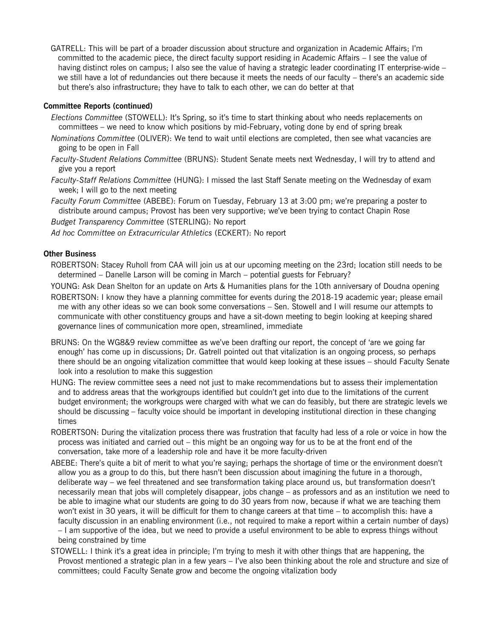GATRELL: This will be part of a broader discussion about structure and organization in Academic Affairs; I'm committed to the academic piece, the direct faculty support residing in Academic Affairs – I see the value of having distinct roles on campus; I also see the value of having a strategic leader coordinating IT enterprise-wide – we still have a lot of redundancies out there because it meets the needs of our faculty – there's an academic side but there's also infrastructure; they have to talk to each other, we can do better at that

# **Committee Reports (continued)**

- *Elections Committee* (STOWELL): It's Spring, so it's time to start thinking about who needs replacements on committees – we need to know which positions by mid-February, voting done by end of spring break
- *Nominations Committee* (OLIVER): We tend to wait until elections are completed, then see what vacancies are going to be open in Fall
- *Faculty-Student Relations Committee* (BRUNS): Student Senate meets next Wednesday, I will try to attend and give you a report
- *Faculty-Staff Relations Committee* (HUNG): I missed the last Staff Senate meeting on the Wednesday of exam week; I will go to the next meeting

*Faculty Forum Committee* (ABEBE): Forum on Tuesday, February 13 at 3:00 pm; we're preparing a poster to distribute around campus; Provost has been very supportive; we've been trying to contact Chapin Rose *Budget Transparency Committee* (STERLING): No report

*Ad hoc Committee on Extracurricular Athletics* (ECKERT): No report

## **Other Business**

ROBERTSON: Stacey Ruholl from CAA will join us at our upcoming meeting on the 23rd; location still needs to be determined – Danelle Larson will be coming in March – potential guests for February?

YOUNG: Ask Dean Shelton for an update on Arts & Humanities plans for the 10th anniversary of Doudna opening

- ROBERTSON: I know they have a planning committee for events during the 2018-19 academic year; please email me with any other ideas so we can book some conversations – Sen. Stowell and I will resume our attempts to communicate with other constituency groups and have a sit-down meeting to begin looking at keeping shared governance lines of communication more open, streamlined, immediate
- BRUNS: On the WG8&9 review committee as we've been drafting our report, the concept of 'are we going far enough' has come up in discussions; Dr. Gatrell pointed out that vitalization is an ongoing process, so perhaps there should be an ongoing vitalization committee that would keep looking at these issues – should Faculty Senate look into a resolution to make this suggestion
- HUNG: The review committee sees a need not just to make recommendations but to assess their implementation and to address areas that the workgroups identified but couldn't get into due to the limitations of the current budget environment; the workgroups were charged with what we can do feasibly, but there are strategic levels we should be discussing – faculty voice should be important in developing institutional direction in these changing times
- ROBERTSON: During the vitalization process there was frustration that faculty had less of a role or voice in how the process was initiated and carried out – this might be an ongoing way for us to be at the front end of the conversation, take more of a leadership role and have it be more faculty-driven
- ABEBE: There's quite a bit of merit to what you're saying; perhaps the shortage of time or the environment doesn't allow you as a group to do this, but there hasn't been discussion about imagining the future in a thorough, deliberate way – we feel threatened and see transformation taking place around us, but transformation doesn't necessarily mean that jobs will completely disappear, jobs change – as professors and as an institution we need to be able to imagine what our students are going to do 30 years from now, because if what we are teaching them won't exist in 30 years, it will be difficult for them to change careers at that time – to accomplish this: have a faculty discussion in an enabling environment (i.e., not required to make a report within a certain number of days) – I am supportive of the idea, but we need to provide a useful environment to be able to express things without being constrained by time
- STOWELL: I think it's a great idea in principle; I'm trying to mesh it with other things that are happening, the Provost mentioned a strategic plan in a few years – I've also been thinking about the role and structure and size of committees; could Faculty Senate grow and become the ongoing vitalization body